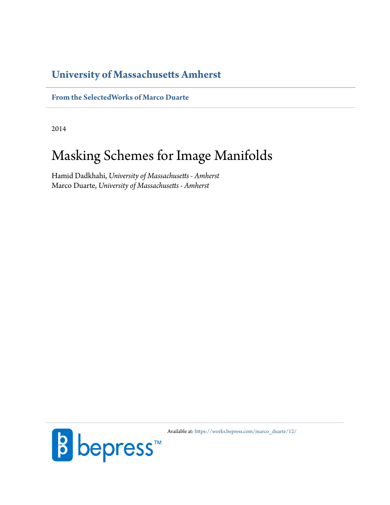## **[University of Massachusetts Amherst](http://www.umass.edu)**

### **[From the SelectedWorks of Marco Duarte](https://works.bepress.com/marco_duarte/)**

2014

# Masking Schemes for Image Manifolds

Hamid Dadkhahi, *University of Massachusetts - Amherst* Marco Duarte, *University of Massachusetts - Amherst*



Available at: [https://works.bepress.com/marco\\_duarte/12/](https://works.bepress.com/marco_duarte/12/)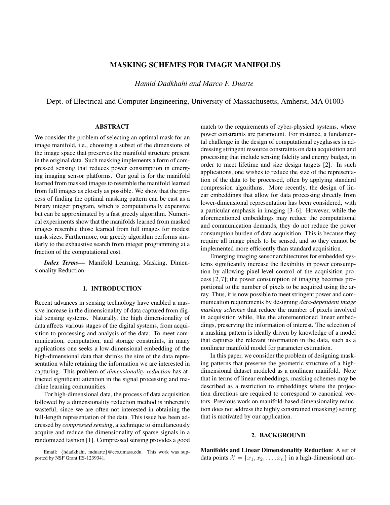#### MASKING SCHEMES FOR IMAGE MANIFOLDS

*Hamid Dadkhahi and Marco F. Duarte*

Dept. of Electrical and Computer Engineering, University of Massachusetts, Amherst, MA 01003

#### ABSTRACT

We consider the problem of selecting an optimal mask for an image manifold, i.e., choosing a subset of the dimensions of the image space that preserves the manifold structure present in the original data. Such masking implements a form of compressed sensing that reduces power consumption in emerging imaging sensor platforms. Our goal is for the manifold learned from masked images to resemble the manifold learned from full images as closely as possible. We show that the process of finding the optimal masking pattern can be cast as a binary integer program, which is computationally expensive but can be approximated by a fast greedy algorithm. Numerical experiments show that the manifolds learned from masked images resemble those learned from full images for modest mask sizes. Furthermore, our greedy algorithm performs similarly to the exhaustive search from integer programming at a fraction of the computational cost.

*Index Terms*— Manifold Learning, Masking, Dimensionality Reduction

#### 1. INTRODUCTION

Recent advances in sensing technology have enabled a massive increase in the dimensionality of data captured from digital sensing systems. Naturally, the high dimensionality of data affects various stages of the digital systems, from acquisition to processing and analysis of the data. To meet communication, computation, and storage constraints, in many applications one seeks a low-dimensional embedding of the high-dimensional data that shrinks the size of the data representation while retaining the information we are interested in capturing. This problem of *dimensionality reduction* has attracted significant attention in the signal processing and machine learning communities.

For high-dimensional data, the process of data acquisition followed by a dimensionality reduction method is inherently wasteful, since we are often not interested in obtaining the full-length representation of the data. This issue has been addressed by *compressed sensing*, a technique to simultaneously acquire and reduce the dimensionality of sparse signals in a randomized fashion [1]. Compressed sensing provides a good

match to the requirements of cyber-physical systems, where power constraints are paramount. For instance, a fundamental challenge in the design of computational eyeglasses is addressing stringent resource constraints on data acquisition and processing that include sensing fidelity and energy budget, in order to meet lifetime and size design targets [2]. In such applications, one wishes to reduce the size of the representation of the data to be processed, often by applying standard compression algorithms. More recently, the design of linear embeddings that allow for data processing directly from lower-dimensional representation has been considered, with a particular emphasis in imaging [3–6]. However, while the aforementioned embeddings may reduce the computational and communication demands, they do not reduce the power consumption burden of data acquisition. This is because they require all image pixels to be sensed, and so they cannot be implemented more efficiently than standard acquisition.

Emerging imaging sensor architectures for embedded systems significantly increase the flexibility in power consumption by allowing pixel-level control of the acquisition process [2, 7]; the power consumption of imaging becomes proportional to the number of pixels to be acquired using the array. Thus, it is now possible to meet stringent power and communication requirements by designing *data-dependent image masking schemes* that reduce the number of pixels involved in acquisition while, like the aforementioned linear embeddings, preserving the information of interest. The selection of a masking pattern is ideally driven by knowledge of a model that captures the relevant information in the data, such as a nonlinear manifold model for parameter estimation.

In this paper, we consider the problem of designing masking patterns that preserve the geometric structure of a highdimensional dataset modeled as a nonlinear manifold. Note that in terms of linear embeddings, masking schemes may be described as a restriction to embeddings where the projection directions are required to correspond to canonical vectors. Previous work on manifold-based dimensionality reduction does not address the highly constrained (masking) setting that is motivated by our application.

#### 2. BACKGROUND

Manifolds and Linear Dimensionality Reduction: A set of data points  $\mathcal{X} = \{x_1, x_2, \dots, x_n\}$  in a high-dimensional am-

Email: {hdadkhahi, mduarte}@ecs.umass.edu. This work was supported by NSF Grant IIS-1239341.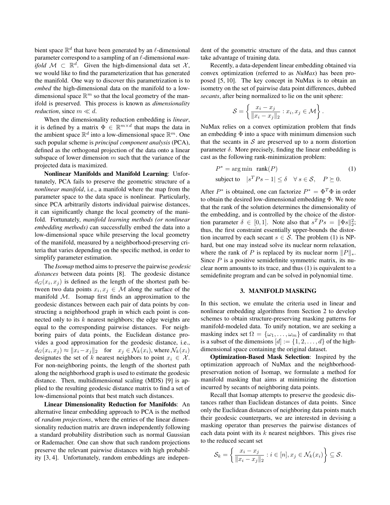bient space  $\mathbb{R}^d$  that have been generated by an  $\ell$ -dimensional parameter correspond to a sampling of an  $\ell$ -dimensional *manifold*  $\mathcal{M} \subset \mathbb{R}^d$ . Given the high-dimensional data set  $\mathcal{X}$ , we would like to find the parameterization that has generated the manifold. One way to discover this parametrization is to *embed* the high-dimensional data on the manifold to a lowdimensional space  $\mathbb{R}^m$  so that the local geometry of the manifold is preserved. This process is known as *dimensionality reduction*, since  $m \ll d$ .

When the dimensionality reduction embedding is *linear*, it is defined by a matrix  $\Phi \in \mathbb{R}^{m \times d}$  that maps the data in the ambient space  $\mathbb{R}^d$  into a low-dimensional space  $\mathbb{R}^m$ . One such popular scheme is *principal component analysis* (PCA), defined as the orthogonal projection of the data onto a linear subspace of lower dimension  $m$  such that the variance of the projected data is maximized.

Nonlinear Manifolds and Manifold Learning: Unfortunately, PCA fails to preserve the geometric structure of a *nonlinear manifold*, i.e., a manifold where the map from the parameter space to the data space is nonlinear. Particularly, since PCA arbitrarily distorts individual pairwise distances, it can significantly change the local geometry of the manifold. Fortunately, *manifold learning methods (or nonlinear embedding methods)* can successfully embed the data into a low-dimensional space while preserving the local geometry of the manifold, measured by a neighborhood-preserving criteria that varies depending on the specific method, in order to simplify parameter estimation.

The *Isomap* method aims to preserve the pairwise *geodesic distances* between data points [8]. The geodesic distance  $d_G(x_i, x_j)$  is defined as the length of the shortest path between two data points  $x_i, x_j \in \mathcal{M}$  along the surface of the manifold  $M$ . Isomap first finds an approximation to the geodesic distances between each pair of data points by constructing a neighborhood graph in which each point is connected only to its k nearest neighbors; the edge weights are equal to the corresponding pairwise distances. For neighboring pairs of data points, the Euclidean distance provides a good approximation for the geodesic distance, i.e.,  $d_G(x_i, x_j) \approx ||x_i - x_j||_2$  for  $x_j \in \mathcal{N}_k(x_i)$ , where  $\mathcal{N}_k(x_i)$ designates the set of k nearest neighbors to point  $x_i \in \mathcal{X}$ . For non-neighboring points, the length of the shortest path along the neighborhood graph is used to estimate the geodesic distance. Then, multidimensional scaling (MDS) [9] is applied to the resulting geodesic distance matrix to find a set of low-dimensional points that best match such distances.

Linear Dimensionality Reduction for Manifolds: An alternative linear embedding approach to PCA is the method of *random projections*, where the entries of the linear dimensionality reduction matrix are drawn independently following a standard probability distribution such as normal Gaussian or Rademacher. One can show that such random projections preserve the relevant pairwise distances with high probability [3, 4]. Unfortunately, random embeddings are independent of the geometric structure of the data, and thus cannot take advantage of training data.

Recently, a data-dependent linear embedding obtained via convex optimization (referred to as *NuMax*) has been proposed [5, 10]. The key concept in NuMax is to obtain an isometry on the set of pairwise data point differences, dubbed *secants*, after being normalized to lie on the unit sphere:

$$
\mathcal{S} = \left\{ \frac{x_i - x_j}{\|x_i - x_j\|_2} : x_i, x_j \in \mathcal{M} \right\}.
$$

NuMax relies on a convex optimization problem that finds an embedding  $\Phi$  into a space with minimum dimension such that the secants in  $S$  are preserved up to a norm distortion parameter  $\delta$ . More precisely, finding the linear embedding is cast as the following rank-minimization problem:

$$
P^* = \arg\min \text{ rank}(P) \tag{1}
$$
  
subject to  $|s^T P s - 1| \le \delta \quad \forall s \in \mathcal{S}, \quad P \succeq 0.$ 

After  $P^*$  is obtained, one can factorize  $P^* = \Phi^T \Phi$  in order to obtain the desired low-dimensional embedding Φ. We note that the rank of the solution determines the dimensionality of the embedding, and is controlled by the choice of the distortion parameter  $\delta \in [0, 1]$ . Note also that  $s^T P s = ||\Phi s||_2^2$ ; thus, the first constraint essentially upper-bounds the distortion incurred by each secant  $s \in S$ . The problem (1) is NPhard, but one may instead solve its nuclear norm relaxation, where the rank of P is replaced by its nuclear norm  $||P||_*$ . Since  $P$  is a positive semidefinite symmetric matrix, its nuclear norm amounts to its trace, and thus (1) is equivalent to a semidefinite program and can be solved in polynomial time.

#### 3. MANIFOLD MASKING

In this section, we emulate the criteria used in linear and nonlinear embedding algorithms from Section 2 to develop schemes to obtain structure-preserving masking patterns for manifold-modeled data. To unify notation, we are seeking a masking index set  $\Omega = {\omega_1, \ldots, \omega_m}$  of cardinality m that is a subset of the dimensions  $[d] := \{1, 2, \ldots, d\}$  of the highdimensional space containing the original dataset.

Optimization-Based Mask Selection: Inspired by the optimization approach of NuMax and the neighborhoodpreservation notion of Isomap, we formulate a method for manifold masking that aims at minimizing the distortion incurred by secants of neighboring data points.

Recall that Isomap attempts to preserve the geodesic distances rather than Euclidean distances of data points. Since only the Euclidean distances of neighboring data points match their geodesic counterparts, we are interested in devising a masking operator than preserves the pairwise distances of each data point with its  $k$  nearest neighbors. This gives rise to the reduced secant set

$$
\mathcal{S}_k = \left\{ \frac{x_i - x_j}{\|x_i - x_j\|_2} : i \in [n], x_j \in \mathcal{N}_k(x_i) \right\} \subseteq \mathcal{S}.
$$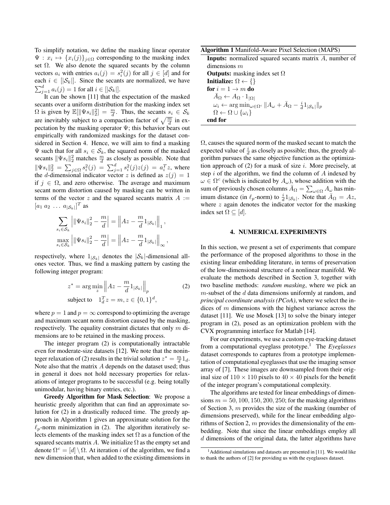To simplify notation, we define the masking linear operator  $\Psi: x_i \mapsto \{x_i(j)\}_{j\in\Omega}$  corresponding to the masking index set  $\Omega$ . We also denote the squared secants by the column vectors  $a_i$  with entries  $a_i(j) = s_i^2(j)$  for all  $j \in [d]$  and for each  $i \in [\mathcal{S}_k]$ . Since the secants are normalized, we have  $\sum_{j=1}^d a_i(j) = 1$  for all  $i \in [S_k]$ .

It can be shown [11] that the expectation of the masked secants over a uniform distribution for the masking index set  $\Omega$  is given by  $\mathbb{E}[\|\Psi s_i\|_2^2] = \frac{m}{d}$ . Thus, the secants  $s_i \in \mathcal{S}_k$ are inevitably subject to a compaction factor of  $\sqrt{\frac{m}{d}}$  in expectation by the masking operator  $\Psi$ ; this behavior bears out empirically with randomized maskings for the dataset considered in Section 4. Hence, we will aim to find a masking  $\Psi$  such that for all  $s_i \in S_k$ , the squared norm of the masked secants  $\|\Psi s_i\|_2^2$  matches  $\frac{m}{d}$  as closely as possible. Note that  $\|\Psi s_i\|_2^2 = \sum_{j \in \Omega} s_i^2(j) = \sum_{j=1}^d s_i^2(j)z(j) = a_i^T z$ , where the d-dimensional indicator vector z is defined as  $z(j) = 1$ if  $j \in \Omega$ , and zero otherwise. The average and maximum secant norm distortion caused by masking can be written in terms of the vector z and the squared secants matrix  $A :=$  $[a_1 a_2 \dots a_{|\mathcal{S}_k|}]^T$  as

$$
\sum_{\substack{s_i \in \mathcal{S}_k}} \left| \|\Psi s_i\|_2^2 - \frac{m}{d} \right| = \left\| Az - \frac{m}{d} 1_{|\mathcal{S}_k|} \right\|_1,
$$
  

$$
\max_{s_i \in \mathcal{S}_k} \left| \|\Psi s_i\|_2^2 - \frac{m}{d} \right| = \left\| Az - \frac{m}{d} 1_{|\mathcal{S}_k|} \right\|_{\infty},
$$

respectively, where  $1_{|S_k|}$  denotes the  $|S_k|$ -dimensional allones vector. Thus, we find a masking pattern by casting the following integer program:

$$
z^* = \arg\min_{z} \left\| Az - \frac{m}{d} 1_{|\mathcal{S}_k|} \right\|_p
$$
  
subject to 
$$
1_d^T z = m, z \in \{0, 1\}^d,
$$
 (2)

where  $p = 1$  and  $p = \infty$  correspond to optimizing the average and maximum secant norm distortion caused by the masking, respectively. The equality constraint dictates that only  $m$  dimensions are to be retained in the masking process.

The integer program (2) is computationally intractable even for moderate-size datasets [12]. We note that the noninteger relaxation of (2) results in the trivial solution  $z^* = \frac{m}{d} 1_d$ . Note also that the matrix A depends on the dataset used; thus in general it does not hold necessary properties for relaxations of integer programs to be successful (e.g. being totally unimodular, having binary entries, etc.).

Greedy Algorithm for Mask Selection: We propose a heuristic greedy algorithm that can find an approximate solution for (2) in a drastically reduced time. The greedy approach in Algorithm 1 gives an approximate solution for the  $\ell_p$ -norm minimization in (2). The algorithm iteratively selects elements of the masking index set  $\Omega$  as a function of the squared secants matrix A. We initialize  $\Omega$  as the empty set and denote  $\Omega^c = [d] \setminus \Omega$ . At iteration i of the algorithm, we find a new dimension that, when added to the existing dimensions in

Algorithm 1 Manifold-Aware Pixel Selection (MAPS)

Inputs: normalized squared secants matrix A, number of dimensions m **Outputs:** masking index set  $\Omega$ Initialize:  $\Omega \leftarrow \{\}$ for  $i = 1 \rightarrow m$  do  $\bar{A}_{\Omega} \leftarrow A_{\Omega} \cdot 1_{|\Omega|}$  $\omega_i \leftarrow \arg \min_{\omega \in \Omega^c} \|A_{\omega} + \bar{A}_{\Omega} - \frac{i}{d} \mathbb{1}_{|\mathcal{S}_k|} \|_p$  $\Omega \leftarrow \Omega \cup \{\omega_i\}$ end for

 $\Omega$ , causes the squared norm of the masked secant to match the expected value of  $\frac{i}{d}$  as closely as possible; thus, the greedy algorithm pursues the same objective function as the optimization approach of  $(2)$  for a mask of size i. More precisely, at step i of the algorithm, we find the column of  $A$  indexed by  $\omega \in \Omega^c$  (which is indicated by  $A_\omega$ ), whose addition with the sum of previously chosen columns  $\bar{A}_{\Omega} = \sum_{\omega \in \Omega} A_{\omega}$  has minimum distance (in  $\ell_p$ -norm) to  $\frac{i}{d} 1_{|S_k|}$ . Note that  $\bar{A}_{\Omega} = Az$ , where  $z$  again denotes the indicator vector for the masking index set  $\Omega \subseteq [d]$ .

#### 4. NUMERICAL EXPERIMENTS

In this section, we present a set of experiments that compare the performance of the proposed algorithms to those in the existing linear embedding literature, in terms of preservation of the low-dimensional structure of a nonlinear manifold. We evaluate the methods described in Section 3, together with two baseline methods: *random masking*, where we pick an  $m$ -subset of the  $d$  data dimensions uniformly at random, and *principal coordinate analysis (PCoA)*, where we select the indices of  $m$  dimensions with the highest variance across the dataset [11]. We use Mosek [13] to solve the binary integer program in (2), posed as an optimization problem with the CVX programming interface for Matlab [14].

For our experiments, we use a custom eye-tracking dataset from a computational eyeglass prototype.<sup>1</sup> The *Eyeglasses* dataset corresponds to captures from a prototype implementation of computational eyeglasses that use the imaging sensor array of [7]. These images are downsampled from their original size of  $110 \times 110$  pixels to  $40 \times 40$  pixels for the benefit of the integer program's computational complexity.

The algorithms are tested for linear embeddings of dimensions  $m = 50, 100, 150, 200, 250$ ; for the masking algorithms of Section 3, m provides the size of the masking (number of dimensions preserved), while for the linear embedding algorithms of Section 2,  $m$  provides the dimensionality of the embedding. Note that since the linear embeddings employ all  $d$  dimensions of the original data, the latter algorithms have

 $<sup>1</sup>$ Additional simulations and datasets are presented in [11]. We would like</sup> to thank the authors of [2] for providing us with the eyeglasses dataset.